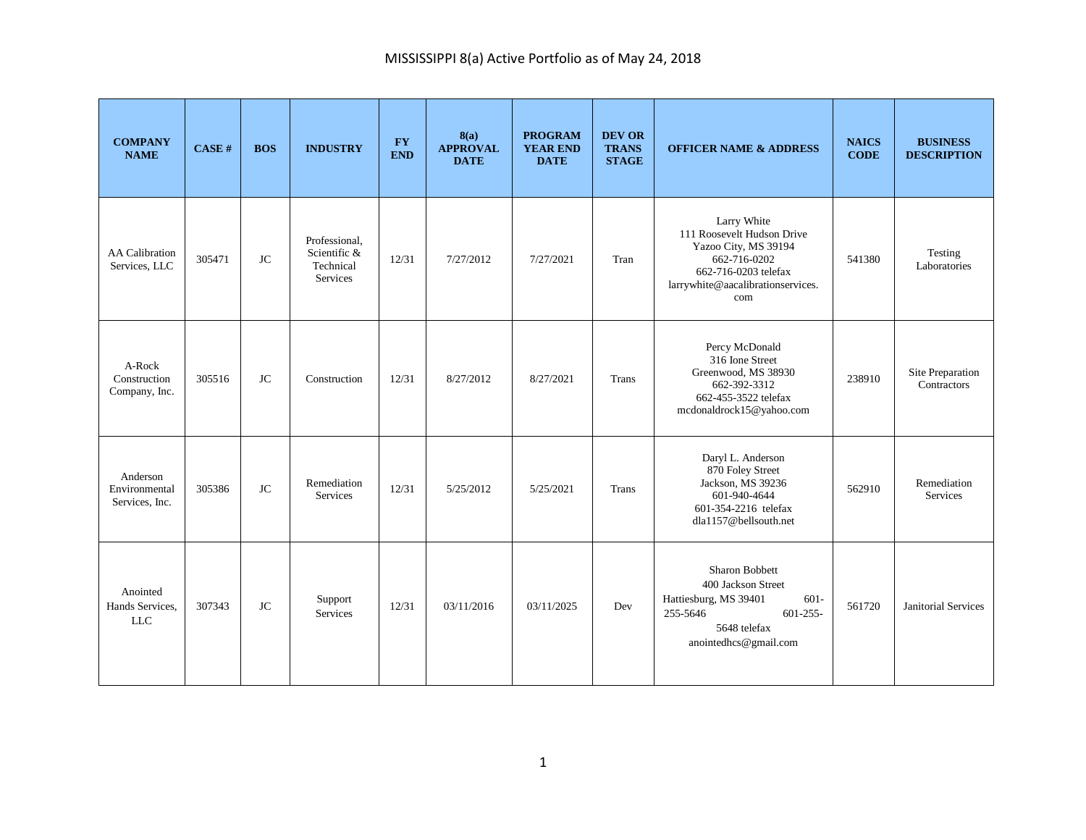| <b>COMPANY</b><br><b>NAME</b>               | CASE#  | <b>BOS</b> | <b>INDUSTRY</b>                                        | <b>FY</b><br><b>END</b> | 8(a)<br><b>APPROVAL</b><br><b>DATE</b> | <b>PROGRAM</b><br><b>YEAR END</b><br><b>DATE</b> | <b>DEV OR</b><br><b>TRANS</b><br><b>STAGE</b> | <b>OFFICER NAME &amp; ADDRESS</b>                                                                                                                     | <b>NAICS</b><br><b>CODE</b> | <b>BUSINESS</b><br><b>DESCRIPTION</b> |
|---------------------------------------------|--------|------------|--------------------------------------------------------|-------------------------|----------------------------------------|--------------------------------------------------|-----------------------------------------------|-------------------------------------------------------------------------------------------------------------------------------------------------------|-----------------------------|---------------------------------------|
| <b>AA</b> Calibration<br>Services, LLC      | 305471 | <b>JC</b>  | Professional,<br>Scientific &<br>Technical<br>Services | 12/31                   | 7/27/2012                              | 7/27/2021                                        | Tran                                          | Larry White<br>111 Roosevelt Hudson Drive<br>Yazoo City, MS 39194<br>662-716-0202<br>662-716-0203 telefax<br>larrywhite@aacalibrationservices.<br>com | 541380                      | Testing<br>Laboratories               |
| A-Rock<br>Construction<br>Company, Inc.     | 305516 | <b>JC</b>  | Construction                                           | 12/31                   | 8/27/2012                              | 8/27/2021                                        | Trans                                         | Percy McDonald<br>316 Ione Street<br>Greenwood, MS 38930<br>662-392-3312<br>662-455-3522 telefax<br>mcdonaldrock15@yahoo.com                          | 238910                      | Site Preparation<br>Contractors       |
| Anderson<br>Environmental<br>Services, Inc. | 305386 | <b>JC</b>  | Remediation<br><b>Services</b>                         | 12/31                   | 5/25/2012                              | 5/25/2021                                        | Trans                                         | Daryl L. Anderson<br>870 Foley Street<br>Jackson, MS 39236<br>601-940-4644<br>601-354-2216 telefax<br>dla1157@bellsouth.net                           | 562910                      | Remediation<br><b>Services</b>        |
| Anointed<br>Hands Services,<br><b>LLC</b>   | 307343 | <b>JC</b>  | Support<br><b>Services</b>                             | 12/31                   | 03/11/2016                             | 03/11/2025                                       | Dev                                           | Sharon Bobbett<br>400 Jackson Street<br>$601 -$<br>Hattiesburg, MS 39401<br>$601 - 255 -$<br>255-5646<br>5648 telefax<br>anointedhcs@gmail.com        | 561720                      | Janitorial Services                   |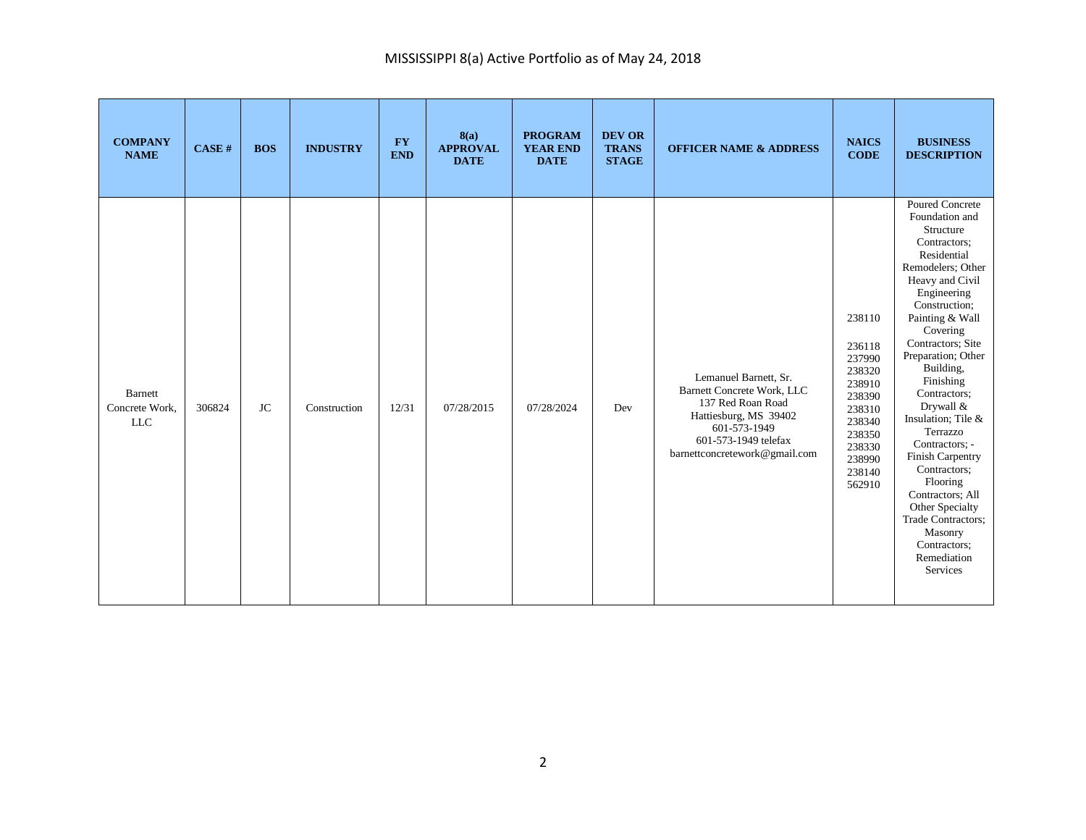| <b>COMPANY</b><br><b>NAME</b>           | CASE#  | <b>BOS</b> | <b>INDUSTRY</b> | <b>FY</b><br><b>END</b> | 8(a)<br><b>APPROVAL</b><br><b>DATE</b> | <b>PROGRAM</b><br><b>YEAR END</b><br><b>DATE</b> | <b>DEV OR</b><br><b>TRANS</b><br><b>STAGE</b> | <b>OFFICER NAME &amp; ADDRESS</b>                                                                                                                                                 | <b>NAICS</b><br><b>CODE</b>                                                                                                    | <b>BUSINESS</b><br><b>DESCRIPTION</b>                                                                                                                                                                                                                                                                                                                                                                                                                                                                         |
|-----------------------------------------|--------|------------|-----------------|-------------------------|----------------------------------------|--------------------------------------------------|-----------------------------------------------|-----------------------------------------------------------------------------------------------------------------------------------------------------------------------------------|--------------------------------------------------------------------------------------------------------------------------------|---------------------------------------------------------------------------------------------------------------------------------------------------------------------------------------------------------------------------------------------------------------------------------------------------------------------------------------------------------------------------------------------------------------------------------------------------------------------------------------------------------------|
| Barnett<br>Concrete Work,<br><b>LLC</b> | 306824 | <b>JC</b>  | Construction    | 12/31                   | 07/28/2015                             | 07/28/2024                                       | Dev                                           | Lemanuel Barnett, Sr.<br><b>Barnett Concrete Work, LLC</b><br>137 Red Roan Road<br>Hattiesburg, MS 39402<br>601-573-1949<br>601-573-1949 telefax<br>barnettconcretework@gmail.com | 238110<br>236118<br>237990<br>238320<br>238910<br>238390<br>238310<br>238340<br>238350<br>238330<br>238990<br>238140<br>562910 | Poured Concrete<br>Foundation and<br>Structure<br>Contractors;<br>Residential<br>Remodelers; Other<br>Heavy and Civil<br>Engineering<br>Construction;<br>Painting & Wall<br>Covering<br>Contractors; Site<br>Preparation; Other<br>Building,<br>Finishing<br>Contractors;<br>Drywall &<br>Insulation; Tile &<br>Terrazzo<br>Contractors: -<br>Finish Carpentry<br>Contractors;<br>Flooring<br>Contractors; All<br>Other Specialty<br>Trade Contractors;<br>Masonry<br>Contractors;<br>Remediation<br>Services |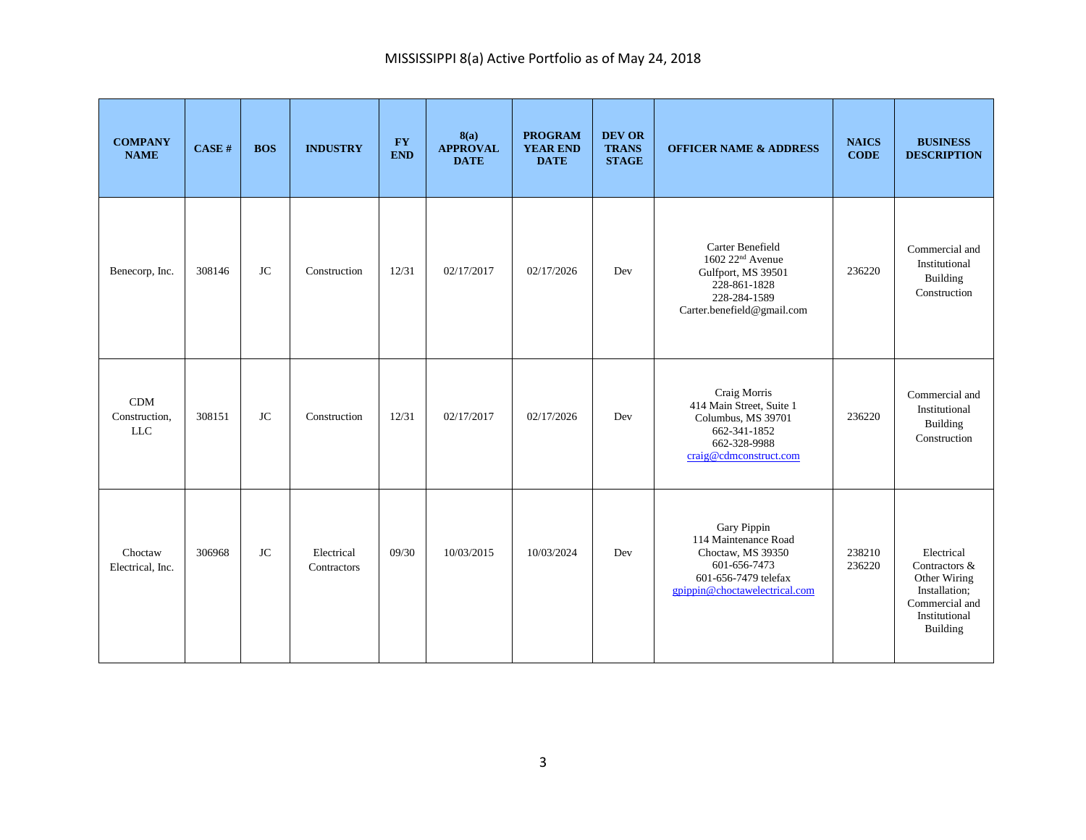| <b>COMPANY</b><br><b>NAME</b>             | CASE H | <b>BOS</b> | <b>INDUSTRY</b>           | $\mathbf{F}\mathbf{Y}$<br><b>END</b> | 8(a)<br><b>APPROVAL</b><br><b>DATE</b> | <b>PROGRAM</b><br><b>YEAR END</b><br><b>DATE</b> | <b>DEV OR</b><br><b>TRANS</b><br><b>STAGE</b> | <b>OFFICER NAME &amp; ADDRESS</b>                                                                                                    | <b>NAICS</b><br><b>CODE</b> | <b>BUSINESS</b><br><b>DESCRIPTION</b>                                                                              |
|-------------------------------------------|--------|------------|---------------------------|--------------------------------------|----------------------------------------|--------------------------------------------------|-----------------------------------------------|--------------------------------------------------------------------------------------------------------------------------------------|-----------------------------|--------------------------------------------------------------------------------------------------------------------|
| Benecorp, Inc.                            | 308146 | <b>JC</b>  | Construction              | 12/31                                | 02/17/2017                             | 02/17/2026                                       | Dev                                           | Carter Benefield<br>1602 22 <sup>nd</sup> Avenue<br>Gulfport, MS 39501<br>228-861-1828<br>228-284-1589<br>Carter.benefield@gmail.com | 236220                      | Commercial and<br>Institutional<br>Building<br>Construction                                                        |
| <b>CDM</b><br>Construction,<br><b>LLC</b> | 308151 | <b>JC</b>  | Construction              | 12/31                                | 02/17/2017                             | 02/17/2026                                       | Dev                                           | Craig Morris<br>414 Main Street, Suite 1<br>Columbus, MS 39701<br>662-341-1852<br>662-328-9988<br>craig@cdmconstruct.com             | 236220                      | Commercial and<br>Institutional<br>Building<br>Construction                                                        |
| Choctaw<br>Electrical, Inc.               | 306968 | JC         | Electrical<br>Contractors | 09/30                                | 10/03/2015                             | 10/03/2024                                       | Dev                                           | Gary Pippin<br>114 Maintenance Road<br>Choctaw, MS 39350<br>601-656-7473<br>601-656-7479 telefax<br>gpippin@choctawelectrical.com    | 238210<br>236220            | Electrical<br>Contractors &<br>Other Wiring<br>Installation;<br>Commercial and<br>Institutional<br><b>Building</b> |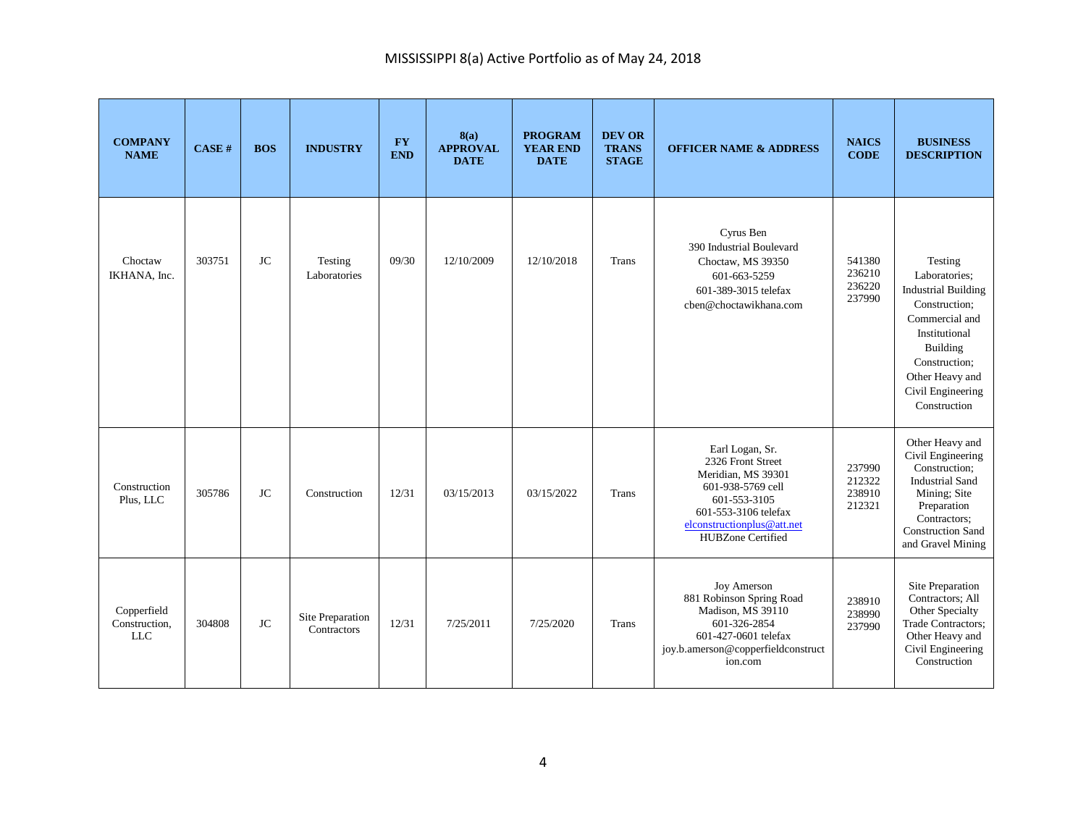| <b>COMPANY</b><br><b>NAME</b>              | CASE H | <b>BOS</b> | <b>INDUSTRY</b>                 | <b>FY</b><br><b>END</b> | 8(a)<br><b>APPROVAL</b><br><b>DATE</b> | <b>PROGRAM</b><br><b>YEAR END</b><br><b>DATE</b> | <b>DEV OR</b><br><b>TRANS</b><br><b>STAGE</b> | <b>OFFICER NAME &amp; ADDRESS</b>                                                                                                                                                 | <b>NAICS</b><br><b>CODE</b>          | <b>BUSINESS</b><br><b>DESCRIPTION</b>                                                                                                                                                           |
|--------------------------------------------|--------|------------|---------------------------------|-------------------------|----------------------------------------|--------------------------------------------------|-----------------------------------------------|-----------------------------------------------------------------------------------------------------------------------------------------------------------------------------------|--------------------------------------|-------------------------------------------------------------------------------------------------------------------------------------------------------------------------------------------------|
| Choctaw<br>IKHANA, Inc.                    | 303751 | JC         | Testing<br>Laboratories         | 09/30                   | 12/10/2009                             | 12/10/2018                                       | Trans                                         | Cyrus Ben<br>390 Industrial Boulevard<br>Choctaw, MS 39350<br>601-663-5259<br>601-389-3015 telefax<br>cben@choctawikhana.com                                                      | 541380<br>236210<br>236220<br>237990 | Testing<br>Laboratories;<br><b>Industrial Building</b><br>Construction;<br>Commercial and<br>Institutional<br>Building<br>Construction;<br>Other Heavy and<br>Civil Engineering<br>Construction |
| Construction<br>Plus, LLC                  | 305786 | <b>JC</b>  | Construction                    | 12/31                   | 03/15/2013                             | 03/15/2022                                       | <b>Trans</b>                                  | Earl Logan, Sr.<br>2326 Front Street<br>Meridian, MS 39301<br>601-938-5769 cell<br>601-553-3105<br>601-553-3106 telefax<br>elconstructionplus@att.net<br><b>HUBZone Certified</b> | 237990<br>212322<br>238910<br>212321 | Other Heavy and<br>Civil Engineering<br>Construction;<br><b>Industrial Sand</b><br>Mining; Site<br>Preparation<br>Contractors;<br><b>Construction Sand</b><br>and Gravel Mining                 |
| Copperfield<br>Construction,<br><b>LLC</b> | 304808 | JC.        | Site Preparation<br>Contractors | 12/31                   | 7/25/2011                              | 7/25/2020                                        | Trans                                         | <b>Joy Amerson</b><br>881 Robinson Spring Road<br>Madison, MS 39110<br>601-326-2854<br>601-427-0601 telefax<br>joy.b.amerson@copperfieldconstruct<br>ion.com                      | 238910<br>238990<br>237990           | Site Preparation<br>Contractors; All<br>Other Specialty<br>Trade Contractors;<br>Other Heavy and<br>Civil Engineering<br>Construction                                                           |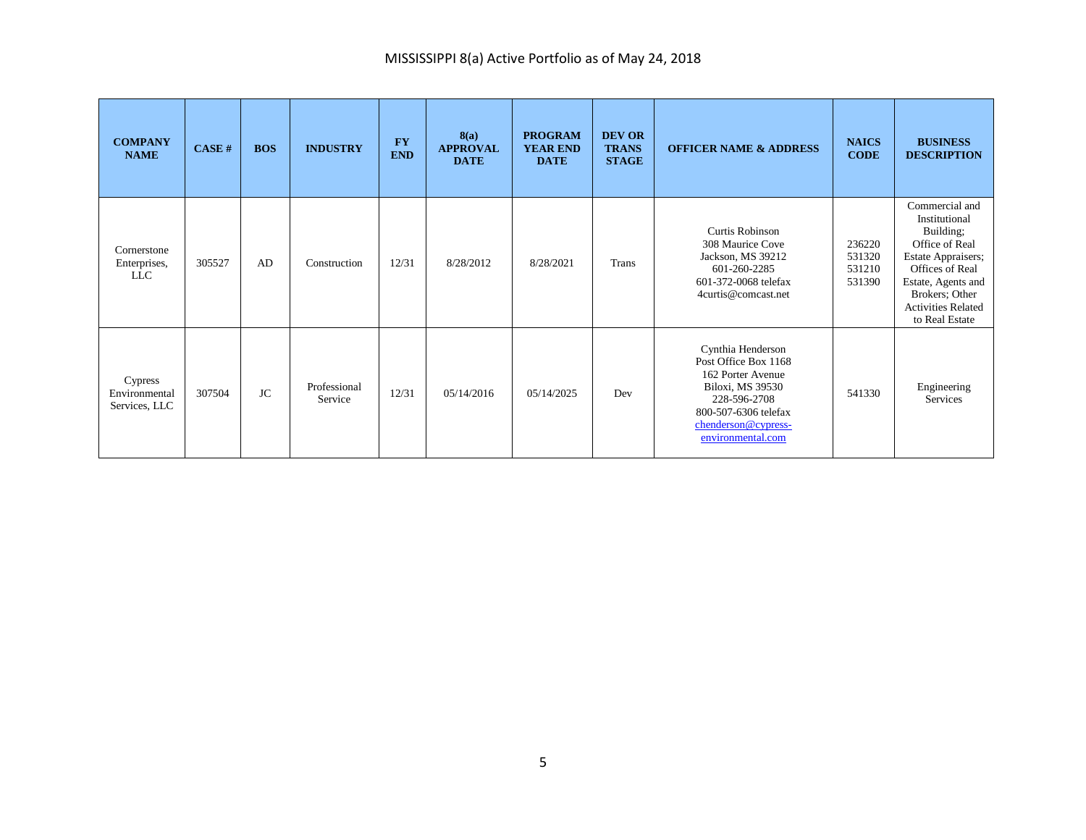| <b>COMPANY</b><br><b>NAME</b>             | CASE#  | <b>BOS</b> | <b>INDUSTRY</b>         | <b>FY</b><br><b>END</b> | 8(a)<br><b>APPROVAL</b><br><b>DATE</b> | <b>PROGRAM</b><br><b>YEAR END</b><br><b>DATE</b> | <b>DEV OR</b><br><b>TRANS</b><br><b>STAGE</b> | <b>OFFICER NAME &amp; ADDRESS</b>                                                                                                                                      | <b>NAICS</b><br><b>CODE</b>          | <b>BUSINESS</b><br><b>DESCRIPTION</b>                                                                                                                                                          |
|-------------------------------------------|--------|------------|-------------------------|-------------------------|----------------------------------------|--------------------------------------------------|-----------------------------------------------|------------------------------------------------------------------------------------------------------------------------------------------------------------------------|--------------------------------------|------------------------------------------------------------------------------------------------------------------------------------------------------------------------------------------------|
| Cornerstone<br>Enterprises,<br><b>LLC</b> | 305527 | AD         | Construction            | 12/31                   | 8/28/2012                              | 8/28/2021                                        | <b>Trans</b>                                  | <b>Curtis Robinson</b><br>308 Maurice Cove<br>Jackson, MS 39212<br>601-260-2285<br>601-372-0068 telefax<br>4curtis@comcast.net                                         | 236220<br>531320<br>531210<br>531390 | Commercial and<br>Institutional<br>Building;<br>Office of Real<br>Estate Appraisers;<br>Offices of Real<br>Estate, Agents and<br>Brokers; Other<br><b>Activities Related</b><br>to Real Estate |
| Cypress<br>Environmental<br>Services, LLC | 307504 | <b>JC</b>  | Professional<br>Service | 12/31                   | 05/14/2016                             | 05/14/2025                                       | Dev                                           | Cynthia Henderson<br>Post Office Box 1168<br>162 Porter Avenue<br>Biloxi, MS 39530<br>228-596-2708<br>800-507-6306 telefax<br>chenderson@cypress-<br>environmental.com | 541330                               | Engineering<br>Services                                                                                                                                                                        |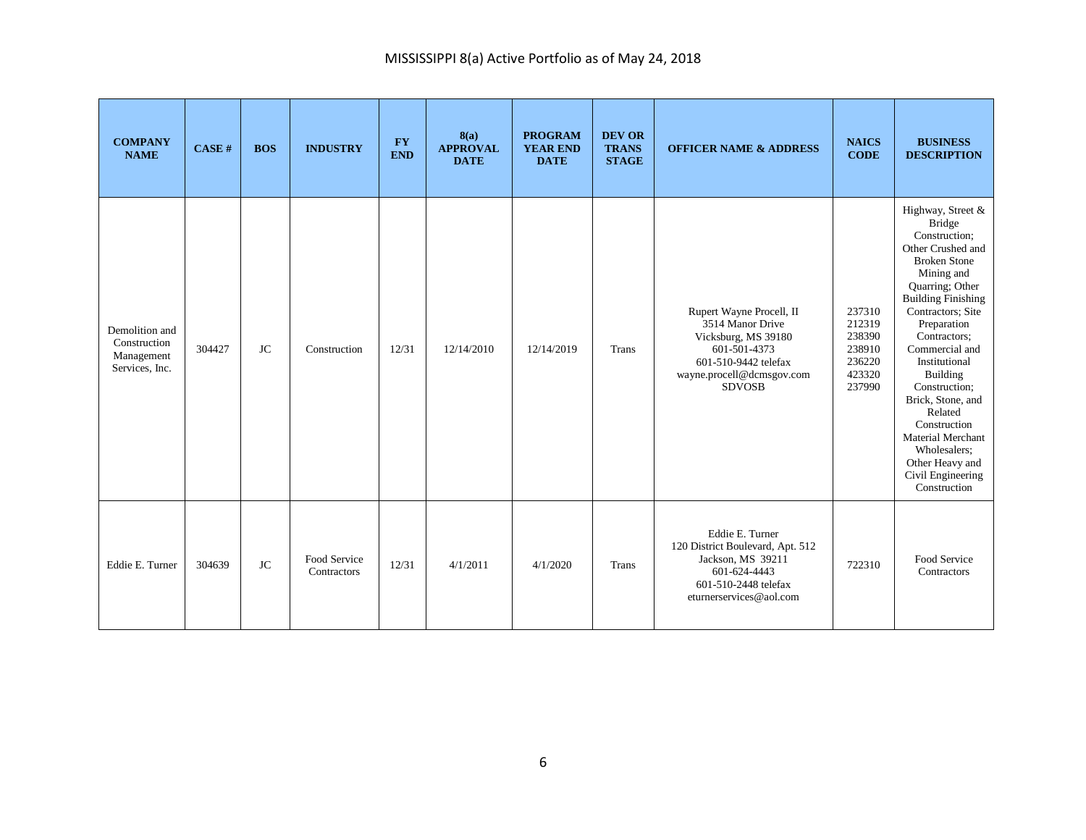| <b>COMPANY</b><br><b>NAME</b>                                  | CASE#  | <b>BOS</b> | <b>INDUSTRY</b>             | <b>FY</b><br><b>END</b> | 8(a)<br><b>APPROVAL</b><br><b>DATE</b> | <b>PROGRAM</b><br><b>YEAR END</b><br><b>DATE</b> | <b>DEV OR</b><br><b>TRANS</b><br><b>STAGE</b> | <b>OFFICER NAME &amp; ADDRESS</b>                                                                                                                         | <b>NAICS</b><br><b>CODE</b>                                        | <b>BUSINESS</b><br><b>DESCRIPTION</b>                                                                                                                                                                                                                                                                                                                                                                                                        |
|----------------------------------------------------------------|--------|------------|-----------------------------|-------------------------|----------------------------------------|--------------------------------------------------|-----------------------------------------------|-----------------------------------------------------------------------------------------------------------------------------------------------------------|--------------------------------------------------------------------|----------------------------------------------------------------------------------------------------------------------------------------------------------------------------------------------------------------------------------------------------------------------------------------------------------------------------------------------------------------------------------------------------------------------------------------------|
| Demolition and<br>Construction<br>Management<br>Services, Inc. | 304427 | <b>JC</b>  | Construction                | 12/31                   | 12/14/2010                             | 12/14/2019                                       | Trans                                         | Rupert Wayne Procell, II<br>3514 Manor Drive<br>Vicksburg, MS 39180<br>601-501-4373<br>601-510-9442 telefax<br>wayne.procell@dcmsgov.com<br><b>SDVOSB</b> | 237310<br>212319<br>238390<br>238910<br>236220<br>423320<br>237990 | Highway, Street &<br><b>Bridge</b><br>Construction;<br>Other Crushed and<br><b>Broken Stone</b><br>Mining and<br>Quarring; Other<br><b>Building Finishing</b><br>Contractors; Site<br>Preparation<br>Contractors;<br>Commercial and<br>Institutional<br><b>Building</b><br>Construction;<br>Brick, Stone, and<br>Related<br>Construction<br><b>Material Merchant</b><br>Wholesalers;<br>Other Heavy and<br>Civil Engineering<br>Construction |
| Eddie E. Turner                                                | 304639 | <b>JC</b>  | Food Service<br>Contractors | 12/31                   | 4/1/2011                               | 4/1/2020                                         | Trans                                         | Eddie E. Turner<br>120 District Boulevard, Apt. 512<br>Jackson, MS 39211<br>601-624-4443<br>601-510-2448 telefax<br>eturnerservices@aol.com               | 722310                                                             | Food Service<br>Contractors                                                                                                                                                                                                                                                                                                                                                                                                                  |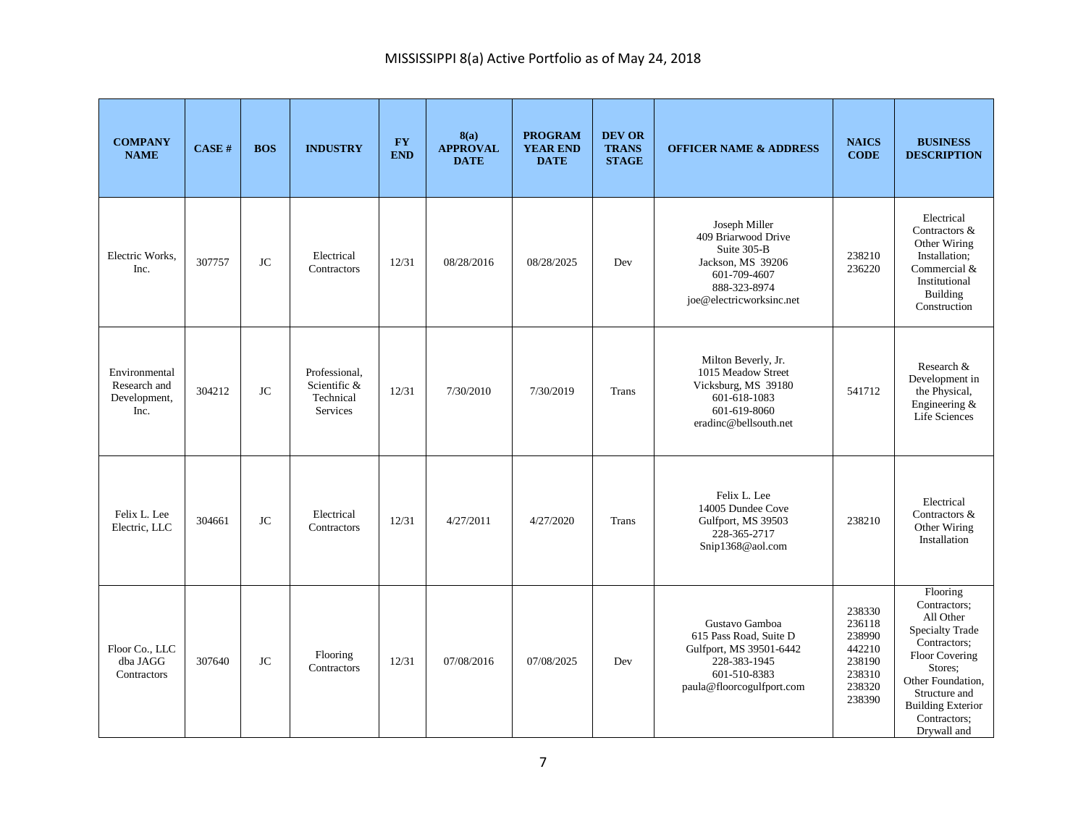| <b>COMPANY</b><br><b>NAME</b>                         | CASE#  | <b>BOS</b> | <b>INDUSTRY</b>                                        | $\mathbf{F}\mathbf{Y}$<br><b>END</b> | 8(a)<br><b>APPROVAL</b><br><b>DATE</b> | <b>PROGRAM</b><br><b>YEAR END</b><br><b>DATE</b> | <b>DEV OR</b><br><b>TRANS</b><br><b>STAGE</b> | <b>OFFICER NAME &amp; ADDRESS</b>                                                                                                    | <b>NAICS</b><br><b>CODE</b>                                                  | <b>BUSINESS</b><br><b>DESCRIPTION</b>                                                                                                                                                                         |
|-------------------------------------------------------|--------|------------|--------------------------------------------------------|--------------------------------------|----------------------------------------|--------------------------------------------------|-----------------------------------------------|--------------------------------------------------------------------------------------------------------------------------------------|------------------------------------------------------------------------------|---------------------------------------------------------------------------------------------------------------------------------------------------------------------------------------------------------------|
| Electric Works.<br>Inc.                               | 307757 | <b>JC</b>  | Electrical<br>Contractors                              | 12/31                                | 08/28/2016                             | 08/28/2025                                       | Dev                                           | Joseph Miller<br>409 Briarwood Drive<br>Suite 305-B<br>Jackson, MS 39206<br>601-709-4607<br>888-323-8974<br>joe@electricworksinc.net | 238210<br>236220                                                             | Electrical<br>Contractors &<br>Other Wiring<br>Installation;<br>Commercial &<br>Institutional<br>Building<br>Construction                                                                                     |
| Environmental<br>Research and<br>Development,<br>Inc. | 304212 | <b>JC</b>  | Professional.<br>Scientific &<br>Technical<br>Services | 12/31                                | 7/30/2010                              | 7/30/2019                                        | <b>Trans</b>                                  | Milton Beverly, Jr.<br>1015 Meadow Street<br>Vicksburg, MS 39180<br>601-618-1083<br>601-619-8060<br>eradinc@bellsouth.net            | 541712                                                                       | Research &<br>Development in<br>the Physical,<br>Engineering &<br>Life Sciences                                                                                                                               |
| Felix L. Lee<br>Electric, LLC                         | 304661 | <b>JC</b>  | Electrical<br>Contractors                              | 12/31                                | 4/27/2011                              | 4/27/2020                                        | Trans                                         | Felix L. Lee<br>14005 Dundee Cove<br>Gulfport, MS 39503<br>228-365-2717<br>Snip1368@aol.com                                          | 238210                                                                       | Electrical<br>Contractors &<br>Other Wiring<br>Installation                                                                                                                                                   |
| Floor Co., LLC<br>dba JAGG<br>Contractors             | 307640 | <b>JC</b>  | Flooring<br>Contractors                                | 12/31                                | 07/08/2016                             | 07/08/2025                                       | Dev                                           | Gustavo Gamboa<br>615 Pass Road, Suite D<br>Gulfport, MS 39501-6442<br>228-383-1945<br>601-510-8383<br>paula@floorcogulfport.com     | 238330<br>236118<br>238990<br>442210<br>238190<br>238310<br>238320<br>238390 | Flooring<br>Contractors;<br>All Other<br><b>Specialty Trade</b><br>Contractors:<br>Floor Covering<br>Stores:<br>Other Foundation,<br>Structure and<br><b>Building Exterior</b><br>Contractors;<br>Drvwall and |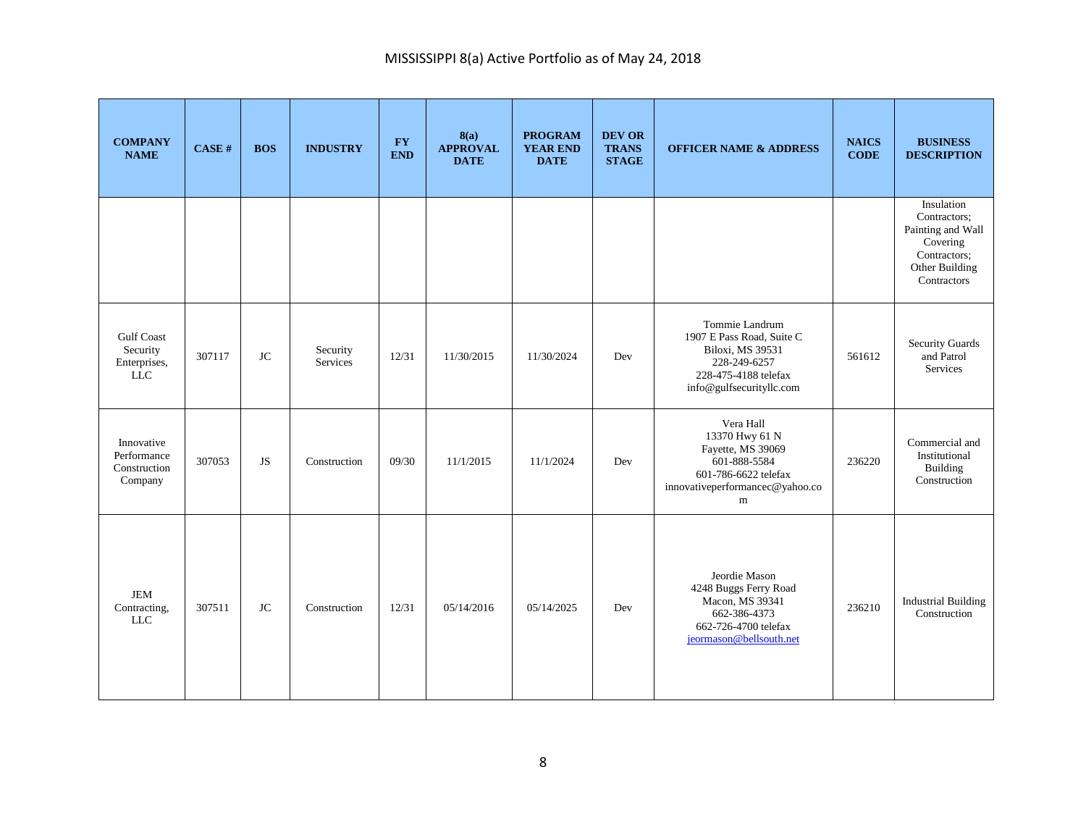| <b>COMPANY</b><br><b>NAME</b>                                | CASE # | <b>BOS</b> | <b>INDUSTRY</b>      | <b>FY</b><br><b>END</b> | 8(a)<br><b>APPROVAL</b><br><b>DATE</b> | <b>PROGRAM</b><br><b>YEAR END</b><br><b>DATE</b> | <b>DEV OR</b><br><b>TRANS</b><br><b>STAGE</b> | <b>OFFICER NAME &amp; ADDRESS</b>                                                                                                        | <b>NAICS</b><br><b>CODE</b> | <b>BUSINESS</b><br><b>DESCRIPTION</b>                                                                        |
|--------------------------------------------------------------|--------|------------|----------------------|-------------------------|----------------------------------------|--------------------------------------------------|-----------------------------------------------|------------------------------------------------------------------------------------------------------------------------------------------|-----------------------------|--------------------------------------------------------------------------------------------------------------|
|                                                              |        |            |                      |                         |                                        |                                                  |                                               |                                                                                                                                          |                             | Insulation<br>Contractors;<br>Painting and Wall<br>Covering<br>Contractors;<br>Other Building<br>Contractors |
| <b>Gulf Coast</b><br>Security<br>Enterprises,<br>${\rm LLC}$ | 307117 | <b>JC</b>  | Security<br>Services | 12/31                   | 11/30/2015                             | 11/30/2024                                       | Dev                                           | Tommie Landrum<br>1907 E Pass Road, Suite C<br>Biloxi, MS 39531<br>228-249-6257<br>228-475-4188 telefax<br>info@gulfsecurityllc.com      | 561612                      | <b>Security Guards</b><br>and Patrol<br>Services                                                             |
| Innovative<br>Performance<br>Construction<br>Company         | 307053 | <b>JS</b>  | Construction         | 09/30                   | 11/1/2015                              | 11/1/2024                                        | Dev                                           | Vera Hall<br>13370 Hwy 61 N<br>Fayette, MS 39069<br>601-888-5584<br>601-786-6622 telefax<br>innovativeperformancec@yahoo.co<br>${\rm m}$ | 236220                      | Commercial and<br>Institutional<br>Building<br>Construction                                                  |
| $JEM$<br>Contracting,<br>$LLC$                               | 307511 | <b>JC</b>  | Construction         | 12/31                   | 05/14/2016                             | 05/14/2025                                       | Dev                                           | Jeordie Mason<br>4248 Buggs Ferry Road<br>Macon, MS 39341<br>662-386-4373<br>662-726-4700 telefax<br>jeormason@bellsouth.net             | 236210                      | <b>Industrial Building</b><br>Construction                                                                   |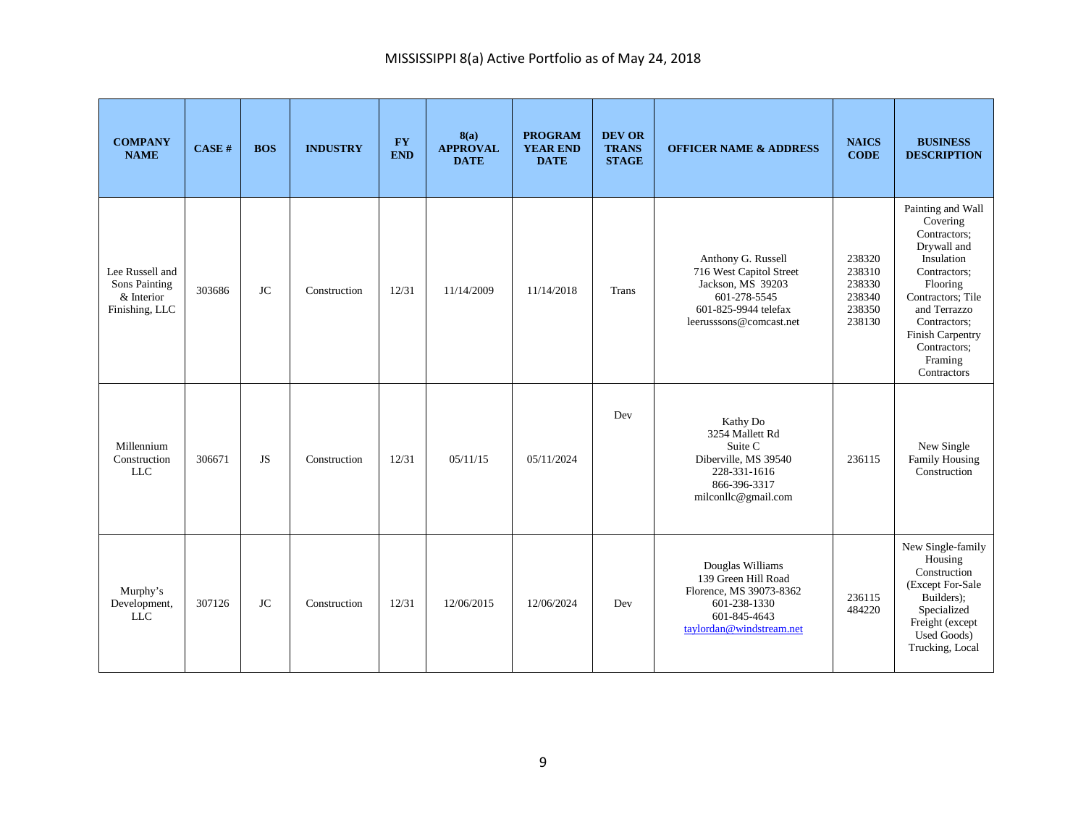| <b>COMPANY</b><br><b>NAME</b>                                    | <b>CASE#</b> | <b>BOS</b> | <b>INDUSTRY</b> | <b>FY</b><br><b>END</b> | 8(a)<br><b>APPROVAL</b><br><b>DATE</b> | <b>PROGRAM</b><br><b>YEAR END</b><br><b>DATE</b> | <b>DEV OR</b><br><b>TRANS</b><br><b>STAGE</b> | <b>OFFICER NAME &amp; ADDRESS</b>                                                                                                     | <b>NAICS</b><br><b>CODE</b>                              | <b>BUSINESS</b><br><b>DESCRIPTION</b>                                                                                                                                                                                     |
|------------------------------------------------------------------|--------------|------------|-----------------|-------------------------|----------------------------------------|--------------------------------------------------|-----------------------------------------------|---------------------------------------------------------------------------------------------------------------------------------------|----------------------------------------------------------|---------------------------------------------------------------------------------------------------------------------------------------------------------------------------------------------------------------------------|
| Lee Russell and<br>Sons Painting<br>& Interior<br>Finishing, LLC | 303686       | <b>JC</b>  | Construction    | 12/31                   | 11/14/2009                             | 11/14/2018                                       | <b>Trans</b>                                  | Anthony G. Russell<br>716 West Capitol Street<br>Jackson, MS 39203<br>601-278-5545<br>601-825-9944 telefax<br>leerusssons@comcast.net | 238320<br>238310<br>238330<br>238340<br>238350<br>238130 | Painting and Wall<br>Covering<br>Contractors;<br>Drywall and<br>Insulation<br>Contractors:<br>Flooring<br>Contractors; Tile<br>and Terrazzo<br>Contractors;<br>Finish Carpentry<br>Contractors;<br>Framing<br>Contractors |
| Millennium<br>Construction<br><b>LLC</b>                         | 306671       | <b>JS</b>  | Construction    | 12/31                   | 05/11/15                               | 05/11/2024                                       | Dev                                           | Kathy Do<br>3254 Mallett Rd<br>Suite C<br>Diberville, MS 39540<br>228-331-1616<br>866-396-3317<br>milconllc@gmail.com                 | 236115                                                   | New Single<br>Family Housing<br>Construction                                                                                                                                                                              |
| Murphy's<br>Development,<br><b>LLC</b>                           | 307126       | <b>JC</b>  | Construction    | 12/31                   | 12/06/2015                             | 12/06/2024                                       | Dev                                           | Douglas Williams<br>139 Green Hill Road<br>Florence, MS 39073-8362<br>601-238-1330<br>601-845-4643<br>taylordan@windstream.net        | 236115<br>484220                                         | New Single-family<br>Housing<br>Construction<br>(Except For-Sale<br>Builders);<br>Specialized<br>Freight (except<br>Used Goods)<br>Trucking, Local                                                                        |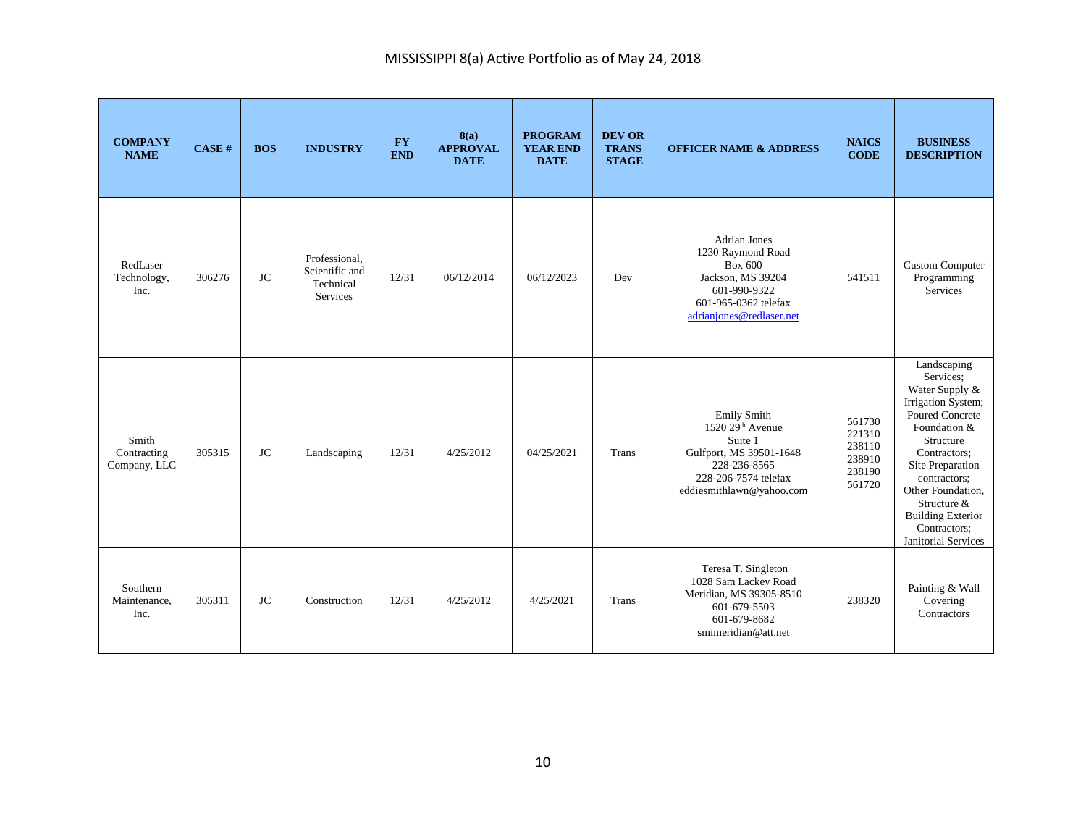| <b>COMPANY</b><br><b>NAME</b>        | CASE H | <b>BOS</b> | <b>INDUSTRY</b>                                                 | $\mathbf{F}\mathbf{Y}$<br><b>END</b> | 8(a)<br><b>APPROVAL</b><br><b>DATE</b> | <b>PROGRAM</b><br><b>YEAR END</b><br><b>DATE</b> | <b>DEV OR</b><br><b>TRANS</b><br><b>STAGE</b> | <b>OFFICER NAME &amp; ADDRESS</b>                                                                                                                             | <b>NAICS</b><br><b>CODE</b>                              | <b>BUSINESS</b><br><b>DESCRIPTION</b>                                                                                                                                                                                                                                              |
|--------------------------------------|--------|------------|-----------------------------------------------------------------|--------------------------------------|----------------------------------------|--------------------------------------------------|-----------------------------------------------|---------------------------------------------------------------------------------------------------------------------------------------------------------------|----------------------------------------------------------|------------------------------------------------------------------------------------------------------------------------------------------------------------------------------------------------------------------------------------------------------------------------------------|
| RedLaser<br>Technology,<br>Inc.      | 306276 | <b>JC</b>  | Professional.<br>Scientific and<br>Technical<br><b>Services</b> | 12/31                                | 06/12/2014                             | 06/12/2023                                       | Dev                                           | <b>Adrian Jones</b><br>1230 Raymond Road<br><b>Box 600</b><br>Jackson, MS 39204<br>601-990-9322<br>601-965-0362 telefax<br>adrianjones@redlaser.net           | 541511                                                   | Custom Computer<br>Programming<br>Services                                                                                                                                                                                                                                         |
| Smith<br>Contracting<br>Company, LLC | 305315 | <b>JC</b>  | Landscaping                                                     | 12/31                                | 4/25/2012                              | 04/25/2021                                       | Trans                                         | <b>Emily Smith</b><br>$1520\,29^{\text{th}}$ Avenue<br>Suite 1<br>Gulfport, MS 39501-1648<br>228-236-8565<br>228-206-7574 telefax<br>eddiesmithlawn@yahoo.com | 561730<br>221310<br>238110<br>238910<br>238190<br>561720 | Landscaping<br>Services;<br>Water Supply &<br>Irrigation System;<br><b>Poured Concrete</b><br>Foundation &<br>Structure<br>Contractors;<br>Site Preparation<br>contractors;<br>Other Foundation,<br>Structure &<br><b>Building Exterior</b><br>Contractors;<br>Janitorial Services |
| Southern<br>Maintenance,<br>Inc.     | 305311 | <b>JC</b>  | Construction                                                    | 12/31                                | 4/25/2012                              | 4/25/2021                                        | <b>Trans</b>                                  | Teresa T. Singleton<br>1028 Sam Lackey Road<br>Meridian, MS 39305-8510<br>601-679-5503<br>601-679-8682<br>smimeridian@att.net                                 | 238320                                                   | Painting & Wall<br>Covering<br>Contractors                                                                                                                                                                                                                                         |